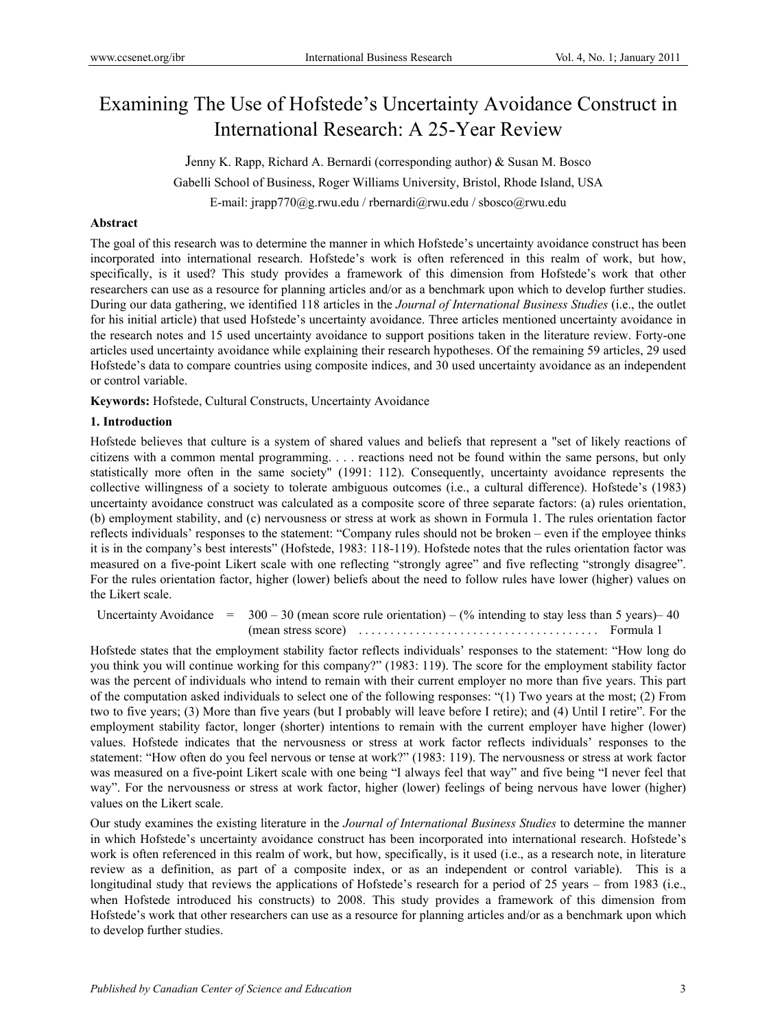# Examining The Use of Hofstede's Uncertainty Avoidance Construct in International Research: A 25-Year Review

Jenny K. Rapp, Richard A. Bernardi (corresponding author) & Susan M. Bosco Gabelli School of Business, Roger Williams University, Bristol, Rhode Island, USA E-mail: jrapp770@g.rwu.edu / rbernardi@rwu.edu / sbosco@rwu.edu

#### **Abstract**

The goal of this research was to determine the manner in which Hofstede's uncertainty avoidance construct has been incorporated into international research. Hofstede's work is often referenced in this realm of work, but how, specifically, is it used? This study provides a framework of this dimension from Hofstede's work that other researchers can use as a resource for planning articles and/or as a benchmark upon which to develop further studies. During our data gathering, we identified 118 articles in the *Journal of International Business Studies* (i.e., the outlet for his initial article) that used Hofstede's uncertainty avoidance. Three articles mentioned uncertainty avoidance in the research notes and 15 used uncertainty avoidance to support positions taken in the literature review. Forty-one articles used uncertainty avoidance while explaining their research hypotheses. Of the remaining 59 articles, 29 used Hofstede's data to compare countries using composite indices, and 30 used uncertainty avoidance as an independent or control variable.

**Keywords:** Hofstede, Cultural Constructs, Uncertainty Avoidance

#### **1. Introduction**

Hofstede believes that culture is a system of shared values and beliefs that represent a "set of likely reactions of citizens with a common mental programming. . . . reactions need not be found within the same persons, but only statistically more often in the same society" (1991: 112). Consequently, uncertainty avoidance represents the collective willingness of a society to tolerate ambiguous outcomes (i.e., a cultural difference). Hofstede's (1983) uncertainty avoidance construct was calculated as a composite score of three separate factors: (a) rules orientation, (b) employment stability, and (c) nervousness or stress at work as shown in Formula 1. The rules orientation factor reflects individuals' responses to the statement: "Company rules should not be broken – even if the employee thinks it is in the company's best interests" (Hofstede, 1983: 118-119). Hofstede notes that the rules orientation factor was measured on a five-point Likert scale with one reflecting "strongly agree" and five reflecting "strongly disagree". For the rules orientation factor, higher (lower) beliefs about the need to follow rules have lower (higher) values on the Likert scale.

Uncertainty Avoidance =  $300 - 30$  (mean score rule orientation) – (% intending to stay less than 5 years)– 40 (mean stress score) . . . . . . . . . . . . . . . . . . . . . . . . . . . . . . . . . . . . . . Formula 1

Hofstede states that the employment stability factor reflects individuals' responses to the statement: "How long do you think you will continue working for this company?" (1983: 119). The score for the employment stability factor was the percent of individuals who intend to remain with their current employer no more than five years. This part of the computation asked individuals to select one of the following responses: "(1) Two years at the most; (2) From two to five years; (3) More than five years (but I probably will leave before I retire); and (4) Until I retire". For the employment stability factor, longer (shorter) intentions to remain with the current employer have higher (lower) values. Hofstede indicates that the nervousness or stress at work factor reflects individuals' responses to the statement: "How often do you feel nervous or tense at work?" (1983: 119). The nervousness or stress at work factor was measured on a five-point Likert scale with one being "I always feel that way" and five being "I never feel that way". For the nervousness or stress at work factor, higher (lower) feelings of being nervous have lower (higher) values on the Likert scale.

Our study examines the existing literature in the *Journal of International Business Studies* to determine the manner in which Hofstede's uncertainty avoidance construct has been incorporated into international research. Hofstede's work is often referenced in this realm of work, but how, specifically, is it used (i.e., as a research note, in literature review as a definition, as part of a composite index, or as an independent or control variable). This is a longitudinal study that reviews the applications of Hofstede's research for a period of 25 years – from 1983 (i.e., when Hofstede introduced his constructs) to 2008. This study provides a framework of this dimension from Hofstede's work that other researchers can use as a resource for planning articles and/or as a benchmark upon which to develop further studies.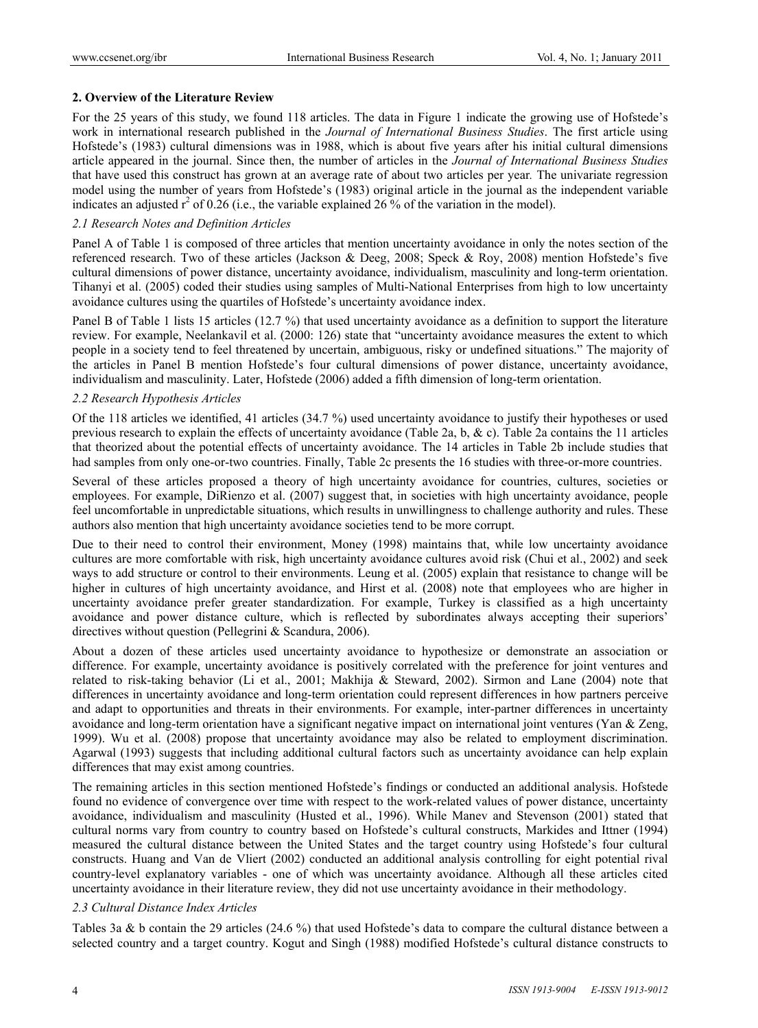#### **2. Overview of the Literature Review**

For the 25 years of this study, we found 118 articles. The data in Figure 1 indicate the growing use of Hofstede's work in international research published in the *Journal of International Business Studies*. The first article using Hofstede's (1983) cultural dimensions was in 1988, which is about five years after his initial cultural dimensions article appeared in the journal. Since then, the number of articles in the *Journal of International Business Studies* that have used this construct has grown at an average rate of about two articles per year*.* The univariate regression model using the number of years from Hofstede's (1983) original article in the journal as the independent variable indicates an adjusted  $r^2$  of 0.26 (i.e., the variable explained 26% of the variation in the model).

#### *2.1 Research Notes and Definition Articles*

Panel A of Table 1 is composed of three articles that mention uncertainty avoidance in only the notes section of the referenced research. Two of these articles (Jackson & Deeg, 2008; Speck & Roy, 2008) mention Hofstede's five cultural dimensions of power distance, uncertainty avoidance, individualism, masculinity and long-term orientation. Tihanyi et al. (2005) coded their studies using samples of Multi-National Enterprises from high to low uncertainty avoidance cultures using the quartiles of Hofstede's uncertainty avoidance index.

Panel B of Table 1 lists 15 articles (12.7 %) that used uncertainty avoidance as a definition to support the literature review. For example, Neelankavil et al. (2000: 126) state that "uncertainty avoidance measures the extent to which people in a society tend to feel threatened by uncertain, ambiguous, risky or undefined situations." The majority of the articles in Panel B mention Hofstede's four cultural dimensions of power distance, uncertainty avoidance, individualism and masculinity. Later, Hofstede (2006) added a fifth dimension of long-term orientation.

#### *2.2 Research Hypothesis Articles*

Of the 118 articles we identified, 41 articles (34.7 %) used uncertainty avoidance to justify their hypotheses or used previous research to explain the effects of uncertainty avoidance (Table 2a, b, & c). Table 2a contains the 11 articles that theorized about the potential effects of uncertainty avoidance. The 14 articles in Table 2b include studies that had samples from only one-or-two countries. Finally, Table 2c presents the 16 studies with three-or-more countries.

Several of these articles proposed a theory of high uncertainty avoidance for countries, cultures, societies or employees. For example, DiRienzo et al. (2007) suggest that, in societies with high uncertainty avoidance, people feel uncomfortable in unpredictable situations, which results in unwillingness to challenge authority and rules. These authors also mention that high uncertainty avoidance societies tend to be more corrupt.

Due to their need to control their environment, Money (1998) maintains that, while low uncertainty avoidance cultures are more comfortable with risk, high uncertainty avoidance cultures avoid risk (Chui et al., 2002) and seek ways to add structure or control to their environments. Leung et al. (2005) explain that resistance to change will be higher in cultures of high uncertainty avoidance, and Hirst et al. (2008) note that employees who are higher in uncertainty avoidance prefer greater standardization. For example, Turkey is classified as a high uncertainty avoidance and power distance culture, which is reflected by subordinates always accepting their superiors' directives without question (Pellegrini & Scandura, 2006).

About a dozen of these articles used uncertainty avoidance to hypothesize or demonstrate an association or difference. For example, uncertainty avoidance is positively correlated with the preference for joint ventures and related to risk-taking behavior (Li et al., 2001; Makhija & Steward, 2002). Sirmon and Lane (2004) note that differences in uncertainty avoidance and long-term orientation could represent differences in how partners perceive and adapt to opportunities and threats in their environments. For example, inter-partner differences in uncertainty avoidance and long-term orientation have a significant negative impact on international joint ventures (Yan & Zeng, 1999). Wu et al. (2008) propose that uncertainty avoidance may also be related to employment discrimination. Agarwal (1993) suggests that including additional cultural factors such as uncertainty avoidance can help explain differences that may exist among countries.

The remaining articles in this section mentioned Hofstede's findings or conducted an additional analysis. Hofstede found no evidence of convergence over time with respect to the work-related values of power distance, uncertainty avoidance, individualism and masculinity (Husted et al., 1996). While Manev and Stevenson (2001) stated that cultural norms vary from country to country based on Hofstede's cultural constructs, Markides and Ittner (1994) measured the cultural distance between the United States and the target country using Hofstede's four cultural constructs. Huang and Van de Vliert (2002) conducted an additional analysis controlling for eight potential rival country-level explanatory variables - one of which was uncertainty avoidance. Although all these articles cited uncertainty avoidance in their literature review, they did not use uncertainty avoidance in their methodology.

#### *2.3 Cultural Distance Index Articles*

Tables 3a & b contain the 29 articles (24.6 %) that used Hofstede's data to compare the cultural distance between a selected country and a target country. Kogut and Singh (1988) modified Hofstede's cultural distance constructs to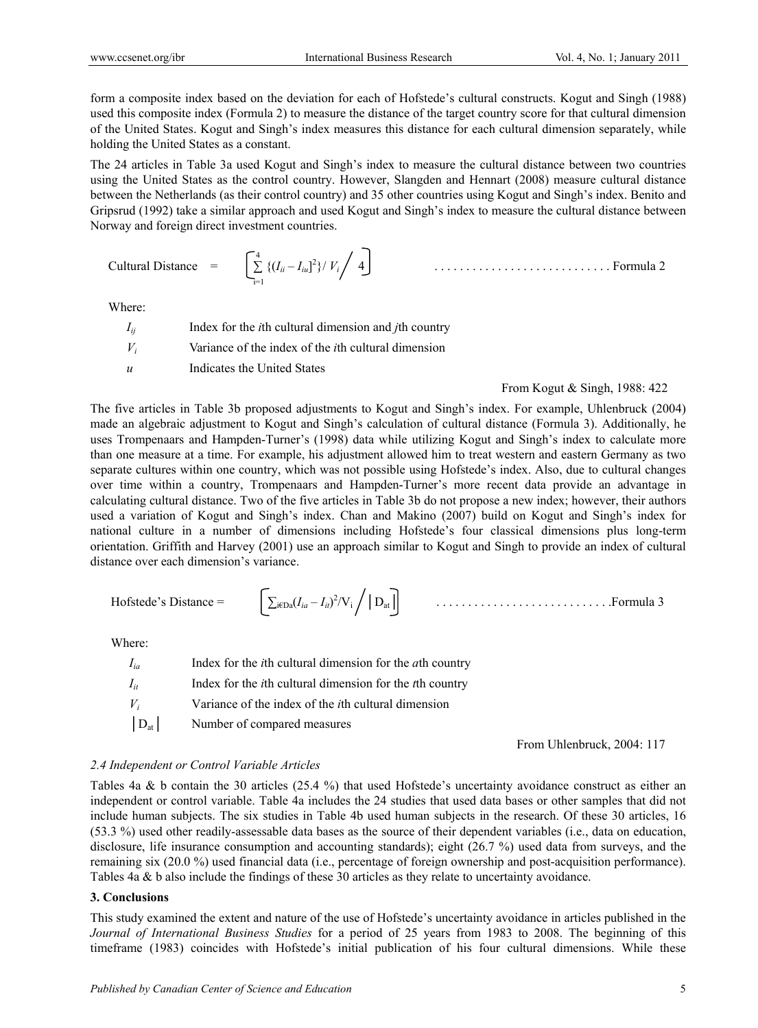form a composite index based on the deviation for each of Hofstede's cultural constructs. Kogut and Singh (1988) used this composite index (Formula 2) to measure the distance of the target country score for that cultural dimension of the United States. Kogut and Singh's index measures this distance for each cultural dimension separately, while holding the United States as a constant.

The 24 articles in Table 3a used Kogut and Singh's index to measure the cultural distance between two countries using the United States as the control country. However, Slangden and Hennart (2008) measure cultural distance between the Netherlands (as their control country) and 35 other countries using Kogut and Singh's index. Benito and Gripsrud (1992) take a similar approach and used Kogut and Singh's index to measure the cultural distance between Norway and foreign direct investment countries.

$$
\text{Cultural Distance} = \left[\sum_{i=1}^{4} \left\{ (I_{ii} - I_{i\mu})^2 \right\} / V_i \middle/ 4 \right] \qquad \qquad \dots \dots \dots \dots \dots \dots \dots \dots \dots \text{Formula 2}
$$

Where:

| $I_{ii}$       | Index for the <i>i</i> th cultural dimension and <i>j</i> th country |
|----------------|----------------------------------------------------------------------|
| $V_i$          | Variance of the index of the <i>i</i> th cultural dimension          |
| $\overline{u}$ | Indicates the United States                                          |

#### From Kogut & Singh, 1988: 422

The five articles in Table 3b proposed adjustments to Kogut and Singh's index. For example, Uhlenbruck (2004) made an algebraic adjustment to Kogut and Singh's calculation of cultural distance (Formula 3). Additionally, he uses Trompenaars and Hampden-Turner's (1998) data while utilizing Kogut and Singh's index to calculate more than one measure at a time. For example, his adjustment allowed him to treat western and eastern Germany as two separate cultures within one country, which was not possible using Hofstede's index. Also, due to cultural changes over time within a country, Trompenaars and Hampden-Turner's more recent data provide an advantage in calculating cultural distance. Two of the five articles in Table 3b do not propose a new index; however, their authors used a variation of Kogut and Singh's index. Chan and Makino (2007) build on Kogut and Singh's index for national culture in a number of dimensions including Hofstede's four classical dimensions plus long-term orientation. Griffith and Harvey (2001) use an approach similar to Kogut and Singh to provide an index of cultural distance over each dimension's variance.

Hofstede's Distance = 
$$
\left[ \sum_{i \in Da} (I_{ia} - I_{ii})^2 / V_i / |D_{at}| \right] \qquad \dots \dots \dots \dots \dots \dots \dots \dots \dots \dots \dots
$$
Formula 3

Where:

| $I_{ia}$   | Index for the <i>i</i> th cultural dimension for the <i>a</i> th country |
|------------|--------------------------------------------------------------------------|
| $I_{it}$   | Index for the <i>i</i> th cultural dimension for the <i>t</i> th country |
| $V_i$      | Variance of the index of the <i>i</i> th cultural dimension              |
| $ D_{at} $ | Number of compared measures                                              |

From Uhlenbruck, 2004: 117

#### *2.4 Independent or Control Variable Articles*

Tables 4a & b contain the 30 articles (25.4 %) that used Hofstede's uncertainty avoidance construct as either an independent or control variable. Table 4a includes the 24 studies that used data bases or other samples that did not include human subjects. The six studies in Table 4b used human subjects in the research. Of these 30 articles, 16 (53.3 %) used other readily-assessable data bases as the source of their dependent variables (i.e., data on education, disclosure, life insurance consumption and accounting standards); eight (26.7 %) used data from surveys, and the remaining six (20.0 %) used financial data (i.e., percentage of foreign ownership and post-acquisition performance). Tables 4a & b also include the findings of these 30 articles as they relate to uncertainty avoidance.

#### **3. Conclusions**

This study examined the extent and nature of the use of Hofstede's uncertainty avoidance in articles published in the *Journal of International Business Studies* for a period of 25 years from 1983 to 2008. The beginning of this timeframe (1983) coincides with Hofstede's initial publication of his four cultural dimensions. While these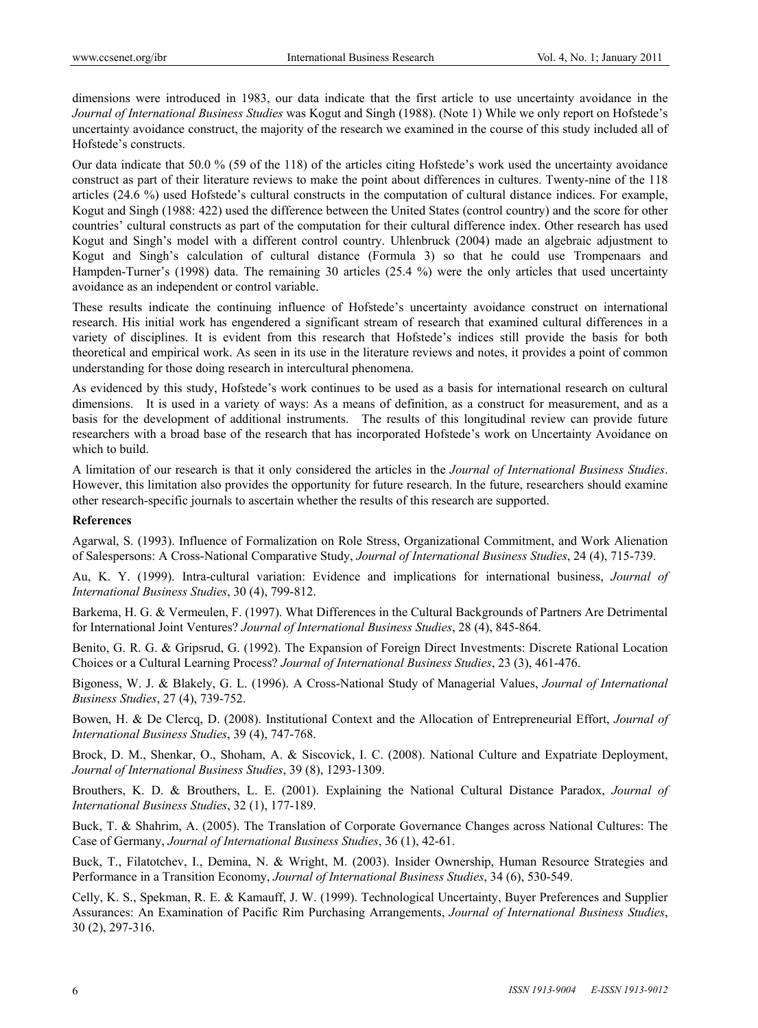dimensions were introduced in 1983, our data indicate that the first article to use uncertainty avoidance in the *Journal of International Business Studies* was Kogut and Singh (1988). (Note 1) While we only report on Hofstede's uncertainty avoidance construct, the majority of the research we examined in the course of this study included all of Hofstede's constructs.

Our data indicate that 50.0 % (59 of the 118) of the articles citing Hofstede's work used the uncertainty avoidance construct as part of their literature reviews to make the point about differences in cultures. Twenty-nine of the 118 articles (24.6 %) used Hofstede's cultural constructs in the computation of cultural distance indices. For example, Kogut and Singh (1988: 422) used the difference between the United States (control country) and the score for other countries' cultural constructs as part of the computation for their cultural difference index. Other research has used Kogut and Singh's model with a different control country. Uhlenbruck (2004) made an algebraic adjustment to Kogut and Singh's calculation of cultural distance (Formula 3) so that he could use Trompenaars and Hampden-Turner's (1998) data. The remaining 30 articles (25.4 %) were the only articles that used uncertainty avoidance as an independent or control variable.

These results indicate the continuing influence of Hofstede's uncertainty avoidance construct on international research. His initial work has engendered a significant stream of research that examined cultural differences in a variety of disciplines. It is evident from this research that Hofstede's indices still provide the basis for both theoretical and empirical work. As seen in its use in the literature reviews and notes, it provides a point of common understanding for those doing research in intercultural phenomena.

As evidenced by this study, Hofstede's work continues to be used as a basis for international research on cultural dimensions. It is used in a variety of ways: As a means of definition, as a construct for measurement, and as a basis for the development of additional instruments. The results of this longitudinal review can provide future researchers with a broad base of the research that has incorporated Hofstede's work on Uncertainty Avoidance on which to build.

A limitation of our research is that it only considered the articles in the *Journal of International Business Studies*. However, this limitation also provides the opportunity for future research. In the future, researchers should examine other research-specific journals to ascertain whether the results of this research are supported.

#### **References**

Agarwal, S. (1993). Influence of Formalization on Role Stress, Organizational Commitment, and Work Alienation of Salespersons: A Cross-National Comparative Study, *Journal of International Business Studies*, 24 (4), 715-739.

Au, K. Y. (1999). Intra-cultural variation: Evidence and implications for international business, *Journal of International Business Studies*, 30 (4), 799-812.

Barkema, H. G. & Vermeulen, F. (1997). What Differences in the Cultural Backgrounds of Partners Are Detrimental for International Joint Ventures? *Journal of International Business Studies*, 28 (4), 845-864.

Benito, G. R. G. & Gripsrud, G. (1992). The Expansion of Foreign Direct Investments: Discrete Rational Location Choices or a Cultural Learning Process? *Journal of International Business Studies*, 23 (3), 461-476.

Bigoness, W. J. & Blakely, G. L. (1996). A Cross-National Study of Managerial Values, *Journal of International Business Studies*, 27 (4), 739-752.

Bowen, H. & De Clercq, D. (2008). Institutional Context and the Allocation of Entrepreneurial Effort, *Journal of International Business Studies*, 39 (4), 747-768.

Brock, D. M., Shenkar, O., Shoham, A. & Siscovick, I. C. (2008). National Culture and Expatriate Deployment, *Journal of International Business Studies*, 39 (8), 1293-1309.

Brouthers, K. D. & Brouthers, L. E. (2001). Explaining the National Cultural Distance Paradox, *Journal of International Business Studies*, 32 (1), 177-189.

Buck, T. & Shahrim, A. (2005). The Translation of Corporate Governance Changes across National Cultures: The Case of Germany, *Journal of International Business Studies*, 36 (1), 42-61.

Buck, T., Filatotchev, I., Demina, N. & Wright, M. (2003). Insider Ownership, Human Resource Strategies and Performance in a Transition Economy, *Journal of International Business Studies*, 34 (6), 530-549.

Celly, K. S., Spekman, R. E. & Kamauff, J. W. (1999). Technological Uncertainty, Buyer Preferences and Supplier Assurances: An Examination of Pacific Rim Purchasing Arrangements, *Journal of International Business Studies*, 30 (2), 297-316.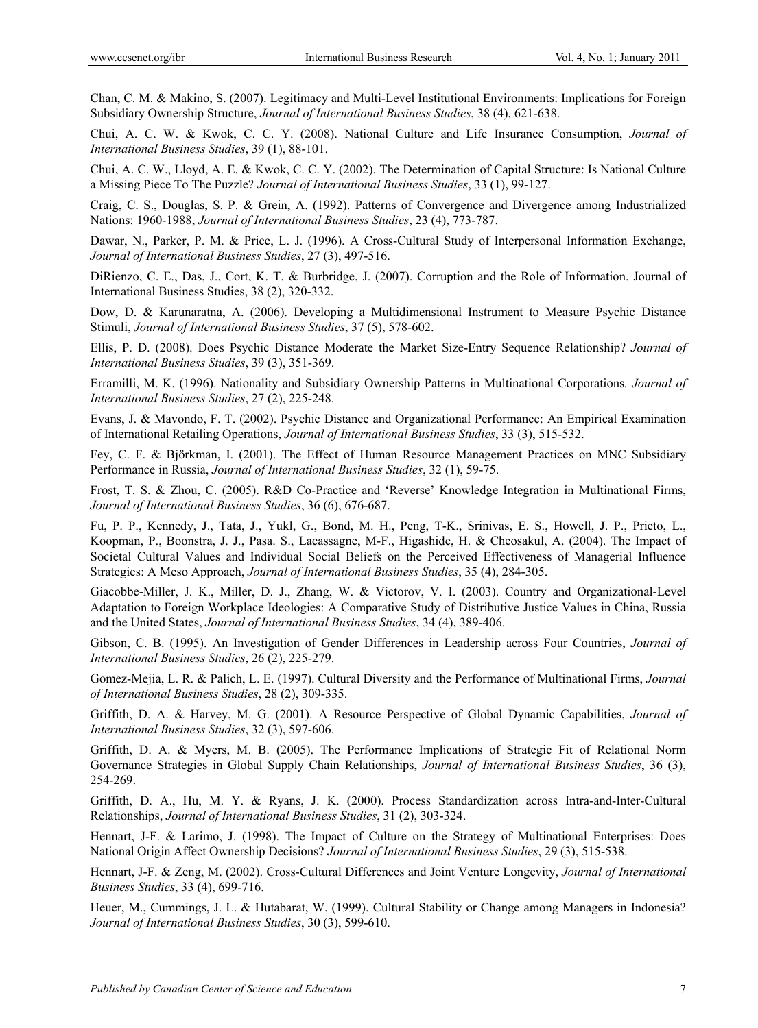Chan, C. M. & Makino, S. (2007). Legitimacy and Multi-Level Institutional Environments: Implications for Foreign Subsidiary Ownership Structure, *Journal of International Business Studies*, 38 (4), 621-638.

Chui, A. C. W. & Kwok, C. C. Y. (2008). National Culture and Life Insurance Consumption, *Journal of International Business Studies*, 39 (1), 88-101.

Chui, A. C. W., Lloyd, A. E. & Kwok, C. C. Y. (2002). The Determination of Capital Structure: Is National Culture a Missing Piece To The Puzzle? *Journal of International Business Studies*, 33 (1), 99-127.

Craig, C. S., Douglas, S. P. & Grein, A. (1992). Patterns of Convergence and Divergence among Industrialized Nations: 1960-1988, *Journal of International Business Studies*, 23 (4), 773-787.

Dawar, N., Parker, P. M. & Price, L. J. (1996). A Cross-Cultural Study of Interpersonal Information Exchange, *Journal of International Business Studies*, 27 (3), 497-516.

DiRienzo, C. E., Das, J., Cort, K. T. & Burbridge, J. (2007). Corruption and the Role of Information. Journal of International Business Studies, 38 (2), 320-332.

Dow, D. & Karunaratna, A. (2006). Developing a Multidimensional Instrument to Measure Psychic Distance Stimuli, *Journal of International Business Studies*, 37 (5), 578-602.

Ellis, P. D. (2008). Does Psychic Distance Moderate the Market Size-Entry Sequence Relationship? *Journal of International Business Studies*, 39 (3), 351-369.

Erramilli, M. K. (1996). Nationality and Subsidiary Ownership Patterns in Multinational Corporations*. Journal of International Business Studies*, 27 (2), 225-248.

Evans, J. & Mavondo, F. T. (2002). Psychic Distance and Organizational Performance: An Empirical Examination of International Retailing Operations, *Journal of International Business Studies*, 33 (3), 515-532.

Fey, C. F. & Björkman, I. (2001). The Effect of Human Resource Management Practices on MNC Subsidiary Performance in Russia, *Journal of International Business Studies*, 32 (1), 59-75.

Frost, T. S. & Zhou, C. (2005). R&D Co-Practice and 'Reverse' Knowledge Integration in Multinational Firms, *Journal of International Business Studies*, 36 (6), 676-687.

Fu, P. P., Kennedy, J., Tata, J., Yukl, G., Bond, M. H., Peng, T-K., Srinivas, E. S., Howell, J. P., Prieto, L., Koopman, P., Boonstra, J. J., Pasa. S., Lacassagne, M-F., Higashide, H. & Cheosakul, A. (2004). The Impact of Societal Cultural Values and Individual Social Beliefs on the Perceived Effectiveness of Managerial Influence Strategies: A Meso Approach, *Journal of International Business Studies*, 35 (4), 284-305.

Giacobbe-Miller, J. K., Miller, D. J., Zhang, W. & Victorov, V. I. (2003). Country and Organizational-Level Adaptation to Foreign Workplace Ideologies: A Comparative Study of Distributive Justice Values in China, Russia and the United States, *Journal of International Business Studies*, 34 (4), 389-406.

Gibson, C. B. (1995). An Investigation of Gender Differences in Leadership across Four Countries, *Journal of International Business Studies*, 26 (2), 225-279.

Gomez-Mejia, L. R. & Palich, L. E. (1997). Cultural Diversity and the Performance of Multinational Firms, *Journal of International Business Studies*, 28 (2), 309-335.

Griffith, D. A. & Harvey, M. G. (2001). A Resource Perspective of Global Dynamic Capabilities, *Journal of International Business Studies*, 32 (3), 597-606.

Griffith, D. A. & Myers, M. B. (2005). The Performance Implications of Strategic Fit of Relational Norm Governance Strategies in Global Supply Chain Relationships, *Journal of International Business Studies*, 36 (3), 254-269.

Griffith, D. A., Hu, M. Y. & Ryans, J. K. (2000). Process Standardization across Intra-and-Inter-Cultural Relationships, *Journal of International Business Studies*, 31 (2), 303-324.

Hennart, J-F. & Larimo, J. (1998). The Impact of Culture on the Strategy of Multinational Enterprises: Does National Origin Affect Ownership Decisions? *Journal of International Business Studies*, 29 (3), 515-538.

Hennart, J-F. & Zeng, M. (2002). Cross-Cultural Differences and Joint Venture Longevity, *Journal of International Business Studies*, 33 (4), 699-716.

Heuer, M., Cummings, J. L. & Hutabarat, W. (1999). Cultural Stability or Change among Managers in Indonesia? *Journal of International Business Studies*, 30 (3), 599-610.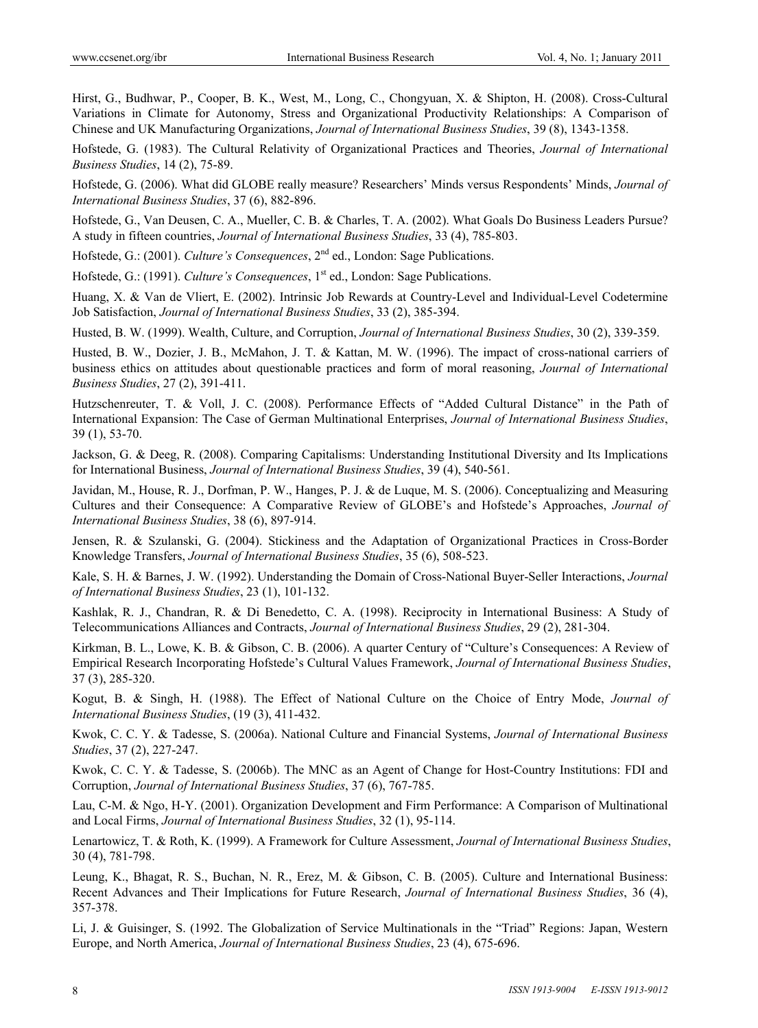Hirst, G., Budhwar, P., Cooper, B. K., West, M., Long, C., Chongyuan, X. & Shipton, H. (2008). Cross-Cultural Variations in Climate for Autonomy, Stress and Organizational Productivity Relationships: A Comparison of Chinese and UK Manufacturing Organizations, *Journal of International Business Studies*, 39 (8), 1343-1358.

Hofstede, G. (1983). The Cultural Relativity of Organizational Practices and Theories, *Journal of International Business Studies*, 14 (2), 75-89.

Hofstede, G. (2006). What did GLOBE really measure? Researchers' Minds versus Respondents' Minds, *Journal of International Business Studies*, 37 (6), 882-896.

Hofstede, G., Van Deusen, C. A., Mueller, C. B. & Charles, T. A. (2002). What Goals Do Business Leaders Pursue? A study in fifteen countries, *Journal of International Business Studies*, 33 (4), 785-803.

Hofstede, G.: (2001). *Culture's Consequences*, 2<sup>nd</sup> ed., London: Sage Publications.

Hofstede, G.: (1991). *Culture's Consequences*, 1<sup>st</sup> ed., London: Sage Publications.

Huang, X. & Van de Vliert, E. (2002). Intrinsic Job Rewards at Country-Level and Individual-Level Codetermine Job Satisfaction, *Journal of International Business Studies*, 33 (2), 385-394.

Husted, B. W. (1999). Wealth, Culture, and Corruption, *Journal of International Business Studies*, 30 (2), 339-359.

Husted, B. W., Dozier, J. B., McMahon, J. T. & Kattan, M. W. (1996). The impact of cross-national carriers of business ethics on attitudes about questionable practices and form of moral reasoning, *Journal of International Business Studies*, 27 (2), 391-411.

Hutzschenreuter, T. & Voll, J. C. (2008). Performance Effects of "Added Cultural Distance" in the Path of International Expansion: The Case of German Multinational Enterprises, *Journal of International Business Studies*, 39 (1), 53-70.

Jackson, G. & Deeg, R. (2008). Comparing Capitalisms: Understanding Institutional Diversity and Its Implications for International Business, *Journal of International Business Studies*, 39 (4), 540-561.

Javidan, M., House, R. J., Dorfman, P. W., Hanges, P. J. & de Luque, M. S. (2006). Conceptualizing and Measuring Cultures and their Consequence: A Comparative Review of GLOBE's and Hofstede's Approaches, *Journal of International Business Studies*, 38 (6), 897-914.

Jensen, R. & Szulanski, G. (2004). Stickiness and the Adaptation of Organizational Practices in Cross-Border Knowledge Transfers, *Journal of International Business Studies*, 35 (6), 508-523.

Kale, S. H. & Barnes, J. W. (1992). Understanding the Domain of Cross-National Buyer-Seller Interactions, *Journal of International Business Studies*, 23 (1), 101-132.

Kashlak, R. J., Chandran, R. & Di Benedetto, C. A. (1998). Reciprocity in International Business: A Study of Telecommunications Alliances and Contracts, *Journal of International Business Studies*, 29 (2), 281-304.

Kirkman, B. L., Lowe, K. B. & Gibson, C. B. (2006). A quarter Century of "Culture's Consequences: A Review of Empirical Research Incorporating Hofstede's Cultural Values Framework, *Journal of International Business Studies*, 37 (3), 285-320.

Kogut, B. & Singh, H. (1988). The Effect of National Culture on the Choice of Entry Mode, *Journal of International Business Studies*, (19 (3), 411-432.

Kwok, C. C. Y. & Tadesse, S. (2006a). National Culture and Financial Systems, *Journal of International Business Studies*, 37 (2), 227-247.

Kwok, C. C. Y. & Tadesse, S. (2006b). The MNC as an Agent of Change for Host-Country Institutions: FDI and Corruption, *Journal of International Business Studies*, 37 (6), 767-785.

Lau, C-M. & Ngo, H-Y. (2001). Organization Development and Firm Performance: A Comparison of Multinational and Local Firms, *Journal of International Business Studies*, 32 (1), 95-114.

Lenartowicz, T. & Roth, K. (1999). A Framework for Culture Assessment, *Journal of International Business Studies*, 30 (4), 781-798.

Leung, K., Bhagat, R. S., Buchan, N. R., Erez, M. & Gibson, C. B. (2005). Culture and International Business: Recent Advances and Their Implications for Future Research, *Journal of International Business Studies*, 36 (4), 357-378.

Li, J. & Guisinger, S. (1992. The Globalization of Service Multinationals in the "Triad" Regions: Japan, Western Europe, and North America, *Journal of International Business Studies*, 23 (4), 675-696.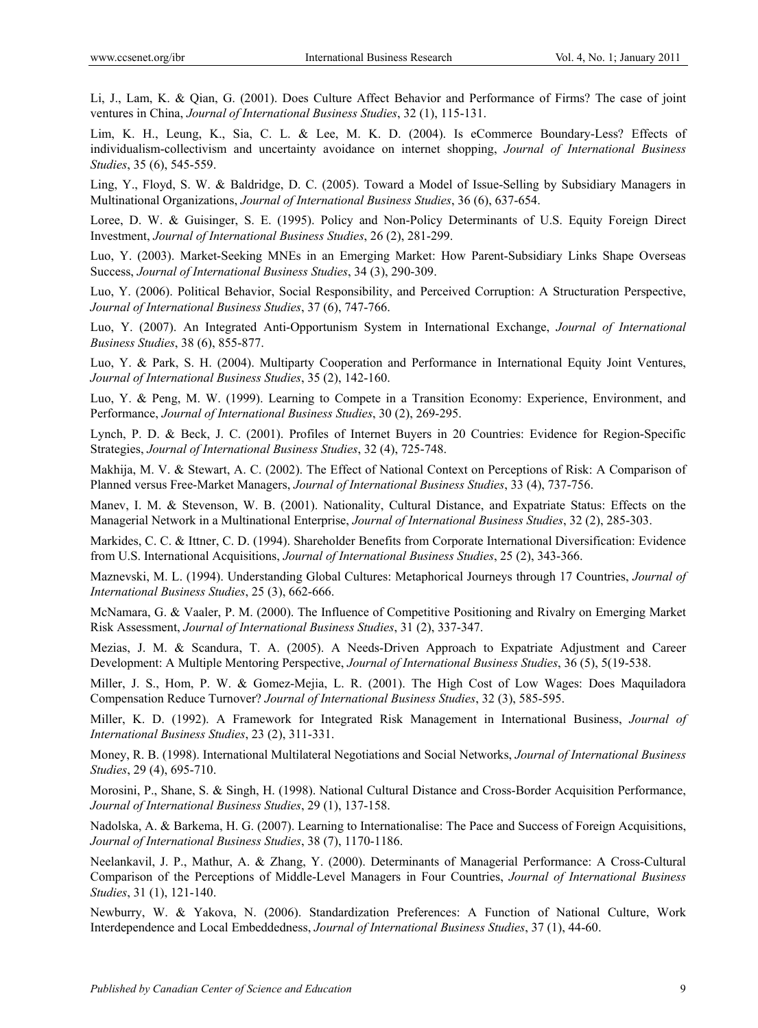Li, J., Lam, K. & Qian, G. (2001). Does Culture Affect Behavior and Performance of Firms? The case of joint ventures in China, *Journal of International Business Studies*, 32 (1), 115-131.

Lim, K. H., Leung, K., Sia, C. L. & Lee, M. K. D. (2004). Is eCommerce Boundary-Less? Effects of individualism-collectivism and uncertainty avoidance on internet shopping, *Journal of International Business Studies*, 35 (6), 545-559.

Ling, Y., Floyd, S. W. & Baldridge, D. C. (2005). Toward a Model of Issue-Selling by Subsidiary Managers in Multinational Organizations, *Journal of International Business Studies*, 36 (6), 637-654.

Loree, D. W. & Guisinger, S. E. (1995). Policy and Non-Policy Determinants of U.S. Equity Foreign Direct Investment, *Journal of International Business Studies*, 26 (2), 281-299.

Luo, Y. (2003). Market-Seeking MNEs in an Emerging Market: How Parent-Subsidiary Links Shape Overseas Success, *Journal of International Business Studies*, 34 (3), 290-309.

Luo, Y. (2006). Political Behavior, Social Responsibility, and Perceived Corruption: A Structuration Perspective, *Journal of International Business Studies*, 37 (6), 747-766.

Luo, Y. (2007). An Integrated Anti-Opportunism System in International Exchange, *Journal of International Business Studies*, 38 (6), 855-877.

Luo, Y. & Park, S. H. (2004). Multiparty Cooperation and Performance in International Equity Joint Ventures, *Journal of International Business Studies*, 35 (2), 142-160.

Luo, Y. & Peng, M. W. (1999). Learning to Compete in a Transition Economy: Experience, Environment, and Performance, *Journal of International Business Studies*, 30 (2), 269-295.

Lynch, P. D. & Beck, J. C. (2001). Profiles of Internet Buyers in 20 Countries: Evidence for Region-Specific Strategies, *Journal of International Business Studies*, 32 (4), 725-748.

Makhija, M. V. & Stewart, A. C. (2002). The Effect of National Context on Perceptions of Risk: A Comparison of Planned versus Free-Market Managers, *Journal of International Business Studies*, 33 (4), 737-756.

Manev, I. M. & Stevenson, W. B. (2001). Nationality, Cultural Distance, and Expatriate Status: Effects on the Managerial Network in a Multinational Enterprise, *Journal of International Business Studies*, 32 (2), 285-303.

Markides, C. C. & Ittner, C. D. (1994). Shareholder Benefits from Corporate International Diversification: Evidence from U.S. International Acquisitions, *Journal of International Business Studies*, 25 (2), 343-366.

Maznevski, M. L. (1994). Understanding Global Cultures: Metaphorical Journeys through 17 Countries, *Journal of International Business Studies*, 25 (3), 662-666.

McNamara, G. & Vaaler, P. M. (2000). The Influence of Competitive Positioning and Rivalry on Emerging Market Risk Assessment, *Journal of International Business Studies*, 31 (2), 337-347.

Mezias, J. M. & Scandura, T. A. (2005). A Needs-Driven Approach to Expatriate Adjustment and Career Development: A Multiple Mentoring Perspective, *Journal of International Business Studies*, 36 (5), 5(19-538.

Miller, J. S., Hom, P. W. & Gomez-Mejia, L. R. (2001). The High Cost of Low Wages: Does Maquiladora Compensation Reduce Turnover? *Journal of International Business Studies*, 32 (3), 585-595.

Miller, K. D. (1992). A Framework for Integrated Risk Management in International Business, *Journal of International Business Studies*, 23 (2), 311-331.

Money, R. B. (1998). International Multilateral Negotiations and Social Networks, *Journal of International Business Studies*, 29 (4), 695-710.

Morosini, P., Shane, S. & Singh, H. (1998). National Cultural Distance and Cross-Border Acquisition Performance, *Journal of International Business Studies*, 29 (1), 137-158.

Nadolska, A. & Barkema, H. G. (2007). Learning to Internationalise: The Pace and Success of Foreign Acquisitions, *Journal of International Business Studies*, 38 (7), 1170-1186.

Neelankavil, J. P., Mathur, A. & Zhang, Y. (2000). Determinants of Managerial Performance: A Cross-Cultural Comparison of the Perceptions of Middle-Level Managers in Four Countries, *Journal of International Business Studies*, 31 (1), 121-140.

Newburry, W. & Yakova, N. (2006). Standardization Preferences: A Function of National Culture, Work Interdependence and Local Embeddedness, *Journal of International Business Studies*, 37 (1), 44-60.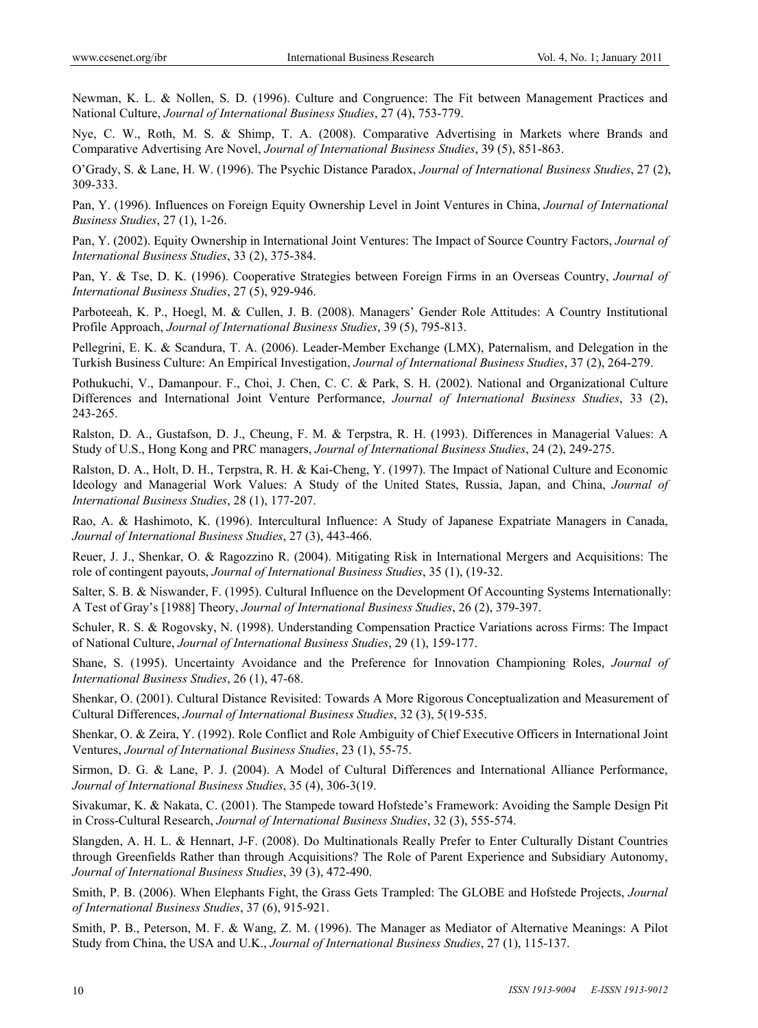Newman, K. L. & Nollen, S. D. (1996). Culture and Congruence: The Fit between Management Practices and National Culture, *Journal of International Business Studies*, 27 (4), 753-779.

Nye, C. W., Roth, M. S. & Shimp, T. A. (2008). Comparative Advertising in Markets where Brands and Comparative Advertising Are Novel, *Journal of International Business Studies*, 39 (5), 851-863.

O'Grady, S. & Lane, H. W. (1996). The Psychic Distance Paradox, *Journal of International Business Studies*, 27 (2), 309-333.

Pan, Y. (1996). Influences on Foreign Equity Ownership Level in Joint Ventures in China, *Journal of International Business Studies*, 27 (1), 1-26.

Pan, Y. (2002). Equity Ownership in International Joint Ventures: The Impact of Source Country Factors, *Journal of International Business Studies*, 33 (2), 375-384.

Pan, Y. & Tse, D. K. (1996). Cooperative Strategies between Foreign Firms in an Overseas Country, *Journal of International Business Studies*, 27 (5), 929-946.

Parboteeah, K. P., Hoegl, M. & Cullen, J. B. (2008). Managers' Gender Role Attitudes: A Country Institutional Profile Approach, *Journal of International Business Studies*, 39 (5), 795-813.

Pellegrini, E. K. & Scandura, T. A. (2006). Leader-Member Exchange (LMX), Paternalism, and Delegation in the Turkish Business Culture: An Empirical Investigation, *Journal of International Business Studies*, 37 (2), 264-279.

Pothukuchi, V., Damanpour. F., Choi, J. Chen, C. C. & Park, S. H. (2002). National and Organizational Culture Differences and International Joint Venture Performance, *Journal of International Business Studies*, 33 (2), 243-265.

Ralston, D. A., Gustafson, D. J., Cheung, F. M. & Terpstra, R. H. (1993). Differences in Managerial Values: A Study of U.S., Hong Kong and PRC managers, *Journal of International Business Studies*, 24 (2), 249-275.

Ralston, D. A., Holt, D. H., Terpstra, R. H. & Kai-Cheng, Y. (1997). The Impact of National Culture and Economic Ideology and Managerial Work Values: A Study of the United States, Russia, Japan, and China, *Journal of International Business Studies*, 28 (1), 177-207.

Rao, A. & Hashimoto, K. (1996). Intercultural Influence: A Study of Japanese Expatriate Managers in Canada, *Journal of International Business Studies*, 27 (3), 443-466.

Reuer, J. J., Shenkar, O. & Ragozzino R. (2004). Mitigating Risk in International Mergers and Acquisitions: The role of contingent payouts, *Journal of International Business Studies*, 35 (1), (19-32.

Salter, S. B. & Niswander, F. (1995). Cultural Influence on the Development Of Accounting Systems Internationally: A Test of Gray's [1988] Theory, *Journal of International Business Studies*, 26 (2), 379-397.

Schuler, R. S. & Rogovsky, N. (1998). Understanding Compensation Practice Variations across Firms: The Impact of National Culture, *Journal of International Business Studies*, 29 (1), 159-177.

Shane, S. (1995). Uncertainty Avoidance and the Preference for Innovation Championing Roles, *Journal of International Business Studies*, 26 (1), 47-68.

Shenkar, O. (2001). Cultural Distance Revisited: Towards A More Rigorous Conceptualization and Measurement of Cultural Differences, *Journal of International Business Studies*, 32 (3), 5(19-535.

Shenkar, O. & Zeira, Y. (1992). Role Conflict and Role Ambiguity of Chief Executive Officers in International Joint Ventures, *Journal of International Business Studies*, 23 (1), 55-75.

Sirmon, D. G. & Lane, P. J. (2004). A Model of Cultural Differences and International Alliance Performance, *Journal of International Business Studies*, 35 (4), 306-3(19.

Sivakumar, K. & Nakata, C. (2001). The Stampede toward Hofstede's Framework: Avoiding the Sample Design Pit in Cross-Cultural Research, *Journal of International Business Studies*, 32 (3), 555-574.

Slangden, A. H. L. & Hennart, J-F. (2008). Do Multinationals Really Prefer to Enter Culturally Distant Countries through Greenfields Rather than through Acquisitions? The Role of Parent Experience and Subsidiary Autonomy, *Journal of International Business Studies*, 39 (3), 472-490.

Smith, P. B. (2006). When Elephants Fight, the Grass Gets Trampled: The GLOBE and Hofstede Projects, *Journal of International Business Studies*, 37 (6), 915-921.

Smith, P. B., Peterson, M. F. & Wang, Z. M. (1996). The Manager as Mediator of Alternative Meanings: A Pilot Study from China, the USA and U.K., *Journal of International Business Studies*, 27 (1), 115-137.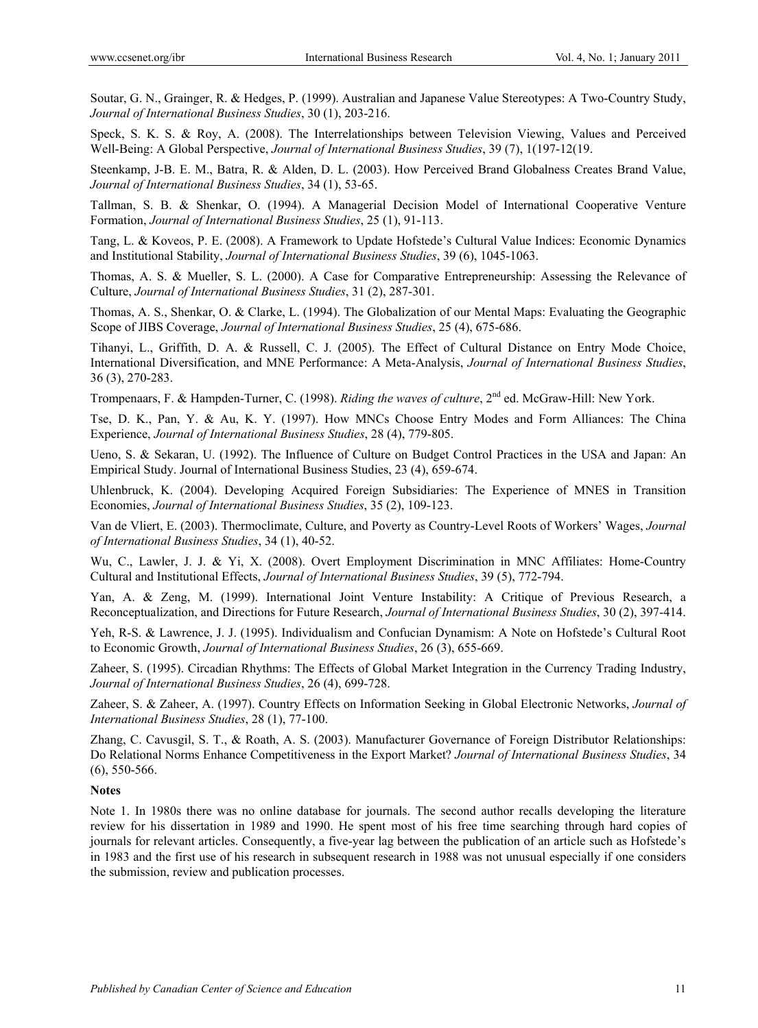Soutar, G. N., Grainger, R. & Hedges, P. (1999). Australian and Japanese Value Stereotypes: A Two-Country Study, *Journal of International Business Studies*, 30 (1), 203-216.

Speck, S. K. S. & Roy, A. (2008). The Interrelationships between Television Viewing, Values and Perceived Well-Being: A Global Perspective, *Journal of International Business Studies*, 39 (7), 1(197-12(19.

Steenkamp, J-B. E. M., Batra, R. & Alden, D. L. (2003). How Perceived Brand Globalness Creates Brand Value, *Journal of International Business Studies*, 34 (1), 53-65.

Tallman, S. B. & Shenkar, O. (1994). A Managerial Decision Model of International Cooperative Venture Formation, *Journal of International Business Studies*, 25 (1), 91-113.

Tang, L. & Koveos, P. E. (2008). A Framework to Update Hofstede's Cultural Value Indices: Economic Dynamics and Institutional Stability, *Journal of International Business Studies*, 39 (6), 1045-1063.

Thomas, A. S. & Mueller, S. L. (2000). A Case for Comparative Entrepreneurship: Assessing the Relevance of Culture, *Journal of International Business Studies*, 31 (2), 287-301.

Thomas, A. S., Shenkar, O. & Clarke, L. (1994). The Globalization of our Mental Maps: Evaluating the Geographic Scope of JIBS Coverage, *Journal of International Business Studies*, 25 (4), 675-686.

Tihanyi, L., Griffith, D. A. & Russell, C. J. (2005). The Effect of Cultural Distance on Entry Mode Choice, International Diversification, and MNE Performance: A Meta-Analysis, *Journal of International Business Studies*, 36 (3), 270-283.

Trompenaars, F. & Hampden-Turner, C. (1998). *Riding the waves of culture*, 2nd ed. McGraw-Hill: New York.

Tse, D. K., Pan, Y. & Au, K. Y. (1997). How MNCs Choose Entry Modes and Form Alliances: The China Experience, *Journal of International Business Studies*, 28 (4), 779-805.

Ueno, S. & Sekaran, U. (1992). The Influence of Culture on Budget Control Practices in the USA and Japan: An Empirical Study. Journal of International Business Studies, 23 (4), 659-674.

Uhlenbruck, K. (2004). Developing Acquired Foreign Subsidiaries: The Experience of MNES in Transition Economies, *Journal of International Business Studies*, 35 (2), 109-123.

Van de Vliert, E. (2003). Thermoclimate, Culture, and Poverty as Country-Level Roots of Workers' Wages, *Journal of International Business Studies*, 34 (1), 40-52.

Wu, C., Lawler, J. J. & Yi, X. (2008). Overt Employment Discrimination in MNC Affiliates: Home-Country Cultural and Institutional Effects, *Journal of International Business Studies*, 39 (5), 772-794.

Yan, A. & Zeng, M. (1999). International Joint Venture Instability: A Critique of Previous Research, a Reconceptualization, and Directions for Future Research, *Journal of International Business Studies*, 30 (2), 397-414.

Yeh, R-S. & Lawrence, J. J. (1995). Individualism and Confucian Dynamism: A Note on Hofstede's Cultural Root to Economic Growth, *Journal of International Business Studies*, 26 (3), 655-669.

Zaheer, S. (1995). Circadian Rhythms: The Effects of Global Market Integration in the Currency Trading Industry, *Journal of International Business Studies*, 26 (4), 699-728.

Zaheer, S. & Zaheer, A. (1997). Country Effects on Information Seeking in Global Electronic Networks, *Journal of International Business Studies*, 28 (1), 77-100.

Zhang, C. Cavusgil, S. T., & Roath, A. S. (2003). Manufacturer Governance of Foreign Distributor Relationships: Do Relational Norms Enhance Competitiveness in the Export Market? *Journal of International Business Studies*, 34 (6), 550-566.

#### **Notes**

Note 1. In 1980s there was no online database for journals. The second author recalls developing the literature review for his dissertation in 1989 and 1990. He spent most of his free time searching through hard copies of journals for relevant articles. Consequently, a five-year lag between the publication of an article such as Hofstede's in 1983 and the first use of his research in subsequent research in 1988 was not unusual especially if one considers the submission, review and publication processes.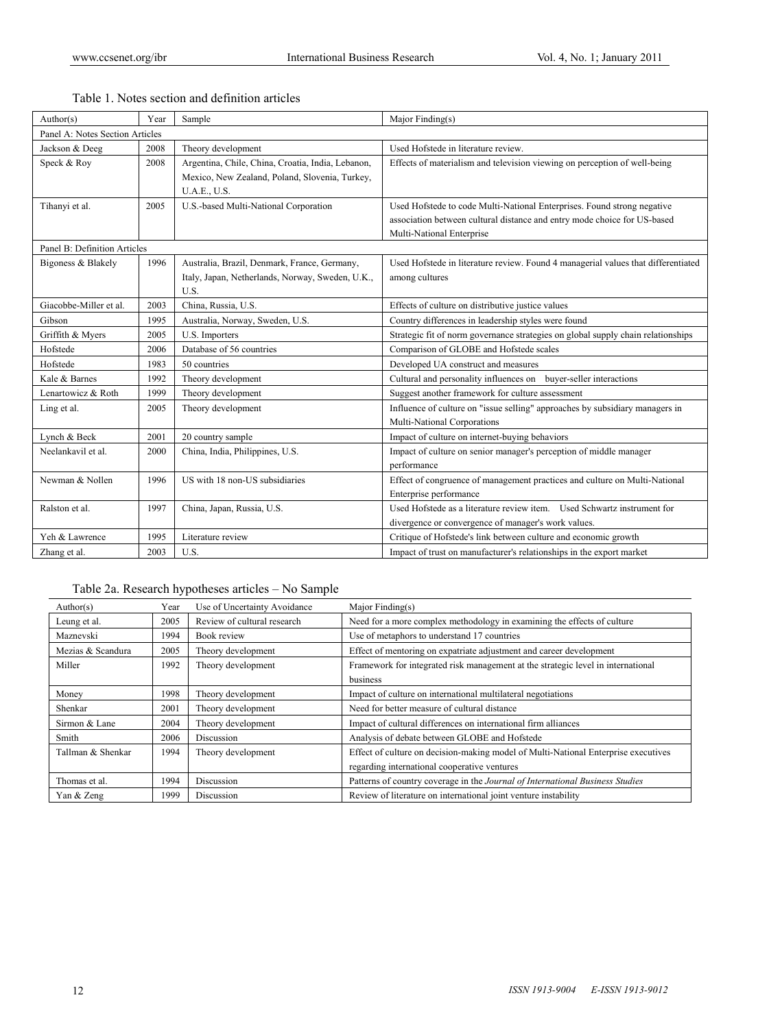# Table 1. Notes section and definition articles

| Author(s)                    | Year                            | Sample                                            | Major Finding(s)                                                                  |  |  |  |
|------------------------------|---------------------------------|---------------------------------------------------|-----------------------------------------------------------------------------------|--|--|--|
|                              | Panel A: Notes Section Articles |                                                   |                                                                                   |  |  |  |
| Jackson & Deeg               | 2008                            | Theory development                                | Used Hofstede in literature review.                                               |  |  |  |
| Speck & Roy                  | 2008                            | Argentina, Chile, China, Croatia, India, Lebanon, | Effects of materialism and television viewing on perception of well-being         |  |  |  |
|                              |                                 | Mexico, New Zealand, Poland, Slovenia, Turkey,    |                                                                                   |  |  |  |
|                              |                                 | <b>U.A.E.</b> , U.S.                              |                                                                                   |  |  |  |
| Tihanyi et al.               | 2005                            | U.S.-based Multi-National Corporation             | Used Hofstede to code Multi-National Enterprises. Found strong negative           |  |  |  |
|                              |                                 |                                                   | association between cultural distance and entry mode choice for US-based          |  |  |  |
|                              |                                 |                                                   | Multi-National Enterprise                                                         |  |  |  |
| Panel B: Definition Articles |                                 |                                                   |                                                                                   |  |  |  |
| Bigoness & Blakely           | 1996                            | Australia, Brazil, Denmark, France, Germany,      | Used Hofstede in literature review. Found 4 managerial values that differentiated |  |  |  |
|                              |                                 | Italy, Japan, Netherlands, Norway, Sweden, U.K.,  | among cultures                                                                    |  |  |  |
|                              |                                 | U.S.                                              |                                                                                   |  |  |  |
| Giacobbe-Miller et al.       | 2003                            | China, Russia, U.S.                               | Effects of culture on distributive justice values                                 |  |  |  |
| Gibson                       | 1995                            | Australia, Norway, Sweden, U.S.                   | Country differences in leadership styles were found                               |  |  |  |
| Griffith & Myers             | 2005                            | U.S. Importers                                    | Strategic fit of norm governance strategies on global supply chain relationships  |  |  |  |
| Hofstede                     | 2006                            | Database of 56 countries                          | Comparison of GLOBE and Hofstede scales                                           |  |  |  |
| Hofstede                     | 1983                            | 50 countries                                      | Developed UA construct and measures                                               |  |  |  |
| Kale & Barnes                | 1992                            | Theory development                                | Cultural and personality influences on buyer-seller interactions                  |  |  |  |
| Lenartowicz & Roth           | 1999                            | Theory development                                | Suggest another framework for culture assessment                                  |  |  |  |
| Ling et al.                  | 2005                            | Theory development                                | Influence of culture on "issue selling" approaches by subsidiary managers in      |  |  |  |
|                              |                                 |                                                   | Multi-National Corporations                                                       |  |  |  |
| Lynch & Beck                 | 2001                            | 20 country sample                                 | Impact of culture on internet-buying behaviors                                    |  |  |  |
| Neelankavil et al.           | 2000                            | China, India, Philippines, U.S.                   | Impact of culture on senior manager's perception of middle manager                |  |  |  |
|                              |                                 |                                                   | performance                                                                       |  |  |  |
| Newman & Nollen              | 1996                            | US with 18 non-US subsidiaries                    | Effect of congruence of management practices and culture on Multi-National        |  |  |  |
|                              |                                 |                                                   | Enterprise performance                                                            |  |  |  |
| Ralston et al.               | 1997                            | China, Japan, Russia, U.S.                        | Used Hofstede as a literature review item. Used Schwartz instrument for           |  |  |  |
|                              |                                 |                                                   | divergence or convergence of manager's work values.                               |  |  |  |
| Yeh & Lawrence               | 1995                            | Literature review                                 | Critique of Hofstede's link between culture and economic growth                   |  |  |  |
| Zhang et al.                 | 2003                            | U.S.                                              | Impact of trust on manufacturer's relationships in the export market              |  |  |  |

# Table 2a. Research hypotheses articles – No Sample

| Author(s)         | Year | Use of Uncertainty Avoidance | Major Finding(s)                                                                   |
|-------------------|------|------------------------------|------------------------------------------------------------------------------------|
| Leung et al.      | 2005 | Review of cultural research  | Need for a more complex methodology in examining the effects of culture            |
| Maznevski         | 1994 | Book review                  | Use of metaphors to understand 17 countries                                        |
| Mezias & Scandura | 2005 | Theory development           | Effect of mentoring on expatriate adjustment and career development                |
| Miller            | 1992 | Theory development           | Framework for integrated risk management at the strategic level in international   |
|                   |      |                              | business                                                                           |
| Money             | 1998 | Theory development           | Impact of culture on international multilateral negotiations                       |
| Shenkar           | 2001 | Theory development           | Need for better measure of cultural distance                                       |
| Sirmon & Lane     | 2004 | Theory development           | Impact of cultural differences on international firm alliances                     |
| Smith             | 2006 | Discussion                   | Analysis of debate between GLOBE and Hofstede                                      |
| Tallman & Shenkar | 1994 | Theory development           | Effect of culture on decision-making model of Multi-National Enterprise executives |
|                   |      |                              | regarding international cooperative ventures                                       |
| Thomas et al.     | 1994 | Discussion                   | Patterns of country coverage in the Journal of International Business Studies      |
| Yan & Zeng        | 1999 | Discussion                   | Review of literature on international joint venture instability                    |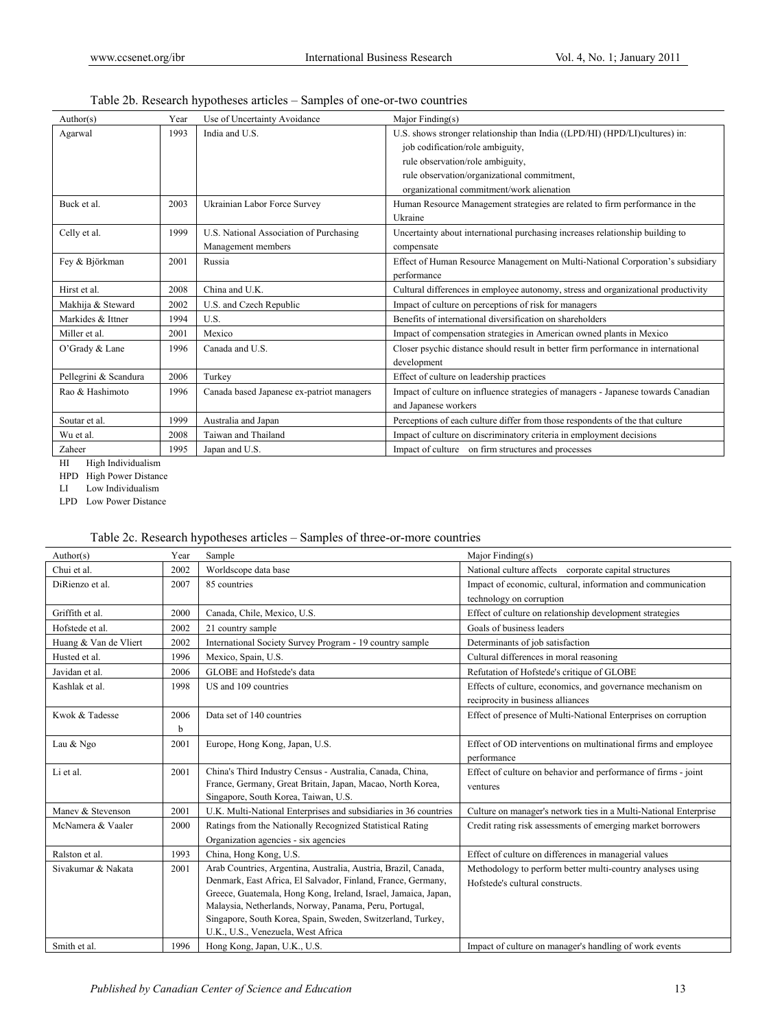## Table 2b. Research hypotheses articles – Samples of one-or-two countries

| Author(s)             | Year | Use of Uncertainty Avoidance              | Major Finding(s)                                                                  |
|-----------------------|------|-------------------------------------------|-----------------------------------------------------------------------------------|
| Agarwal               | 1993 | India and U.S.                            | U.S. shows stronger relationship than India ((LPD/HI) (HPD/LI)cultures) in:       |
|                       |      |                                           | job codification/role ambiguity,                                                  |
|                       |      |                                           | rule observation/role ambiguity,                                                  |
|                       |      |                                           | rule observation/organizational commitment,                                       |
|                       |      |                                           | organizational commitment/work alienation                                         |
| Buck et al.           | 2003 | Ukrainian Labor Force Survey              | Human Resource Management strategies are related to firm performance in the       |
|                       |      |                                           | Ukraine                                                                           |
| Celly et al.          | 1999 | U.S. National Association of Purchasing   | Uncertainty about international purchasing increases relationship building to     |
|                       |      | Management members                        | compensate                                                                        |
| Fey & Björkman        | 2001 | Russia                                    | Effect of Human Resource Management on Multi-National Corporation's subsidiary    |
|                       |      |                                           | performance                                                                       |
| Hirst et al.          | 2008 | China and U.K.                            | Cultural differences in employee autonomy, stress and organizational productivity |
| Makhija & Steward     | 2002 | U.S. and Czech Republic                   | Impact of culture on perceptions of risk for managers                             |
| Markides & Ittner     | 1994 | U.S.                                      | Benefits of international diversification on shareholders                         |
| Miller et al.         | 2001 | Mexico                                    | Impact of compensation strategies in American owned plants in Mexico              |
| O'Grady & Lane        | 1996 | Canada and U.S.                           | Closer psychic distance should result in better firm performance in international |
|                       |      |                                           | development                                                                       |
| Pellegrini & Scandura | 2006 | Turkey                                    | Effect of culture on leadership practices                                         |
| Rao & Hashimoto       | 1996 | Canada based Japanese ex-patriot managers | Impact of culture on influence strategies of managers - Japanese towards Canadian |
|                       |      |                                           | and Japanese workers                                                              |
| Soutar et al.         | 1999 | Australia and Japan                       | Perceptions of each culture differ from those respondents of the that culture     |
| Wu et al.             | 2008 | Taiwan and Thailand                       | Impact of culture on discriminatory criteria in employment decisions              |
| Zaheer                | 1995 | Japan and U.S.                            | Impact of culture on firm structures and processes                                |

HI High Individualism

HPD High Power Distance

LI Low Individualism

LPD Low Power Distance

# Table 2c. Research hypotheses articles – Samples of three-or-more countries

| Author(s)             | Year | Sample                                                           | Major Finding(s)                                                 |
|-----------------------|------|------------------------------------------------------------------|------------------------------------------------------------------|
| Chui et al.           | 2002 | Worldscope data base                                             | National culture affects corporate capital structures            |
| DiRienzo et al.       | 2007 | 85 countries                                                     | Impact of economic, cultural, information and communication      |
|                       |      |                                                                  | technology on corruption                                         |
| Griffith et al.       | 2000 | Canada, Chile, Mexico, U.S.                                      | Effect of culture on relationship development strategies         |
| Hofstede et al.       | 2002 | 21 country sample                                                | Goals of business leaders                                        |
| Huang & Van de Vliert | 2002 | International Society Survey Program - 19 country sample         | Determinants of job satisfaction                                 |
| Husted et al.         | 1996 | Mexico, Spain, U.S.                                              | Cultural differences in moral reasoning                          |
| Javidan et al.        | 2006 | GLOBE and Hofstede's data                                        | Refutation of Hofstede's critique of GLOBE                       |
| Kashlak et al.        | 1998 | US and 109 countries                                             | Effects of culture, economics, and governance mechanism on       |
|                       |      |                                                                  | reciprocity in business alliances                                |
| Kwok & Tadesse        | 2006 | Data set of 140 countries                                        | Effect of presence of Multi-National Enterprises on corruption   |
|                       | b    |                                                                  |                                                                  |
| Lau & Ngo             | 2001 | Europe, Hong Kong, Japan, U.S.                                   | Effect of OD interventions on multinational firms and employee   |
|                       |      |                                                                  | performance                                                      |
| Li et al.             | 2001 | China's Third Industry Census - Australia, Canada, China,        | Effect of culture on behavior and performance of firms - joint   |
|                       |      | France, Germany, Great Britain, Japan, Macao, North Korea,       | ventures                                                         |
|                       |      | Singapore, South Korea, Taiwan, U.S.                             |                                                                  |
| Maney & Stevenson     | 2001 | U.K. Multi-National Enterprises and subsidiaries in 36 countries | Culture on manager's network ties in a Multi-National Enterprise |
| McNamera & Vaaler     | 2000 | Ratings from the Nationally Recognized Statistical Rating        | Credit rating risk assessments of emerging market borrowers      |
|                       |      | Organization agencies - six agencies                             |                                                                  |
| Ralston et al.        | 1993 | China, Hong Kong, U.S.                                           | Effect of culture on differences in managerial values            |
| Sivakumar & Nakata    | 2001 | Arab Countries, Argentina, Australia, Austria, Brazil, Canada,   | Methodology to perform better multi-country analyses using       |
|                       |      | Denmark, East Africa, El Salvador, Finland, France, Germany,     | Hofstede's cultural constructs.                                  |
|                       |      | Greece, Guatemala, Hong Kong, Ireland, Israel, Jamaica, Japan,   |                                                                  |
|                       |      | Malaysia, Netherlands, Norway, Panama, Peru, Portugal,           |                                                                  |
|                       |      | Singapore, South Korea, Spain, Sweden, Switzerland, Turkey,      |                                                                  |
|                       |      | U.K., U.S., Venezuela, West Africa                               |                                                                  |
| Smith et al.          | 1996 | Hong Kong, Japan, U.K., U.S.                                     | Impact of culture on manager's handling of work events           |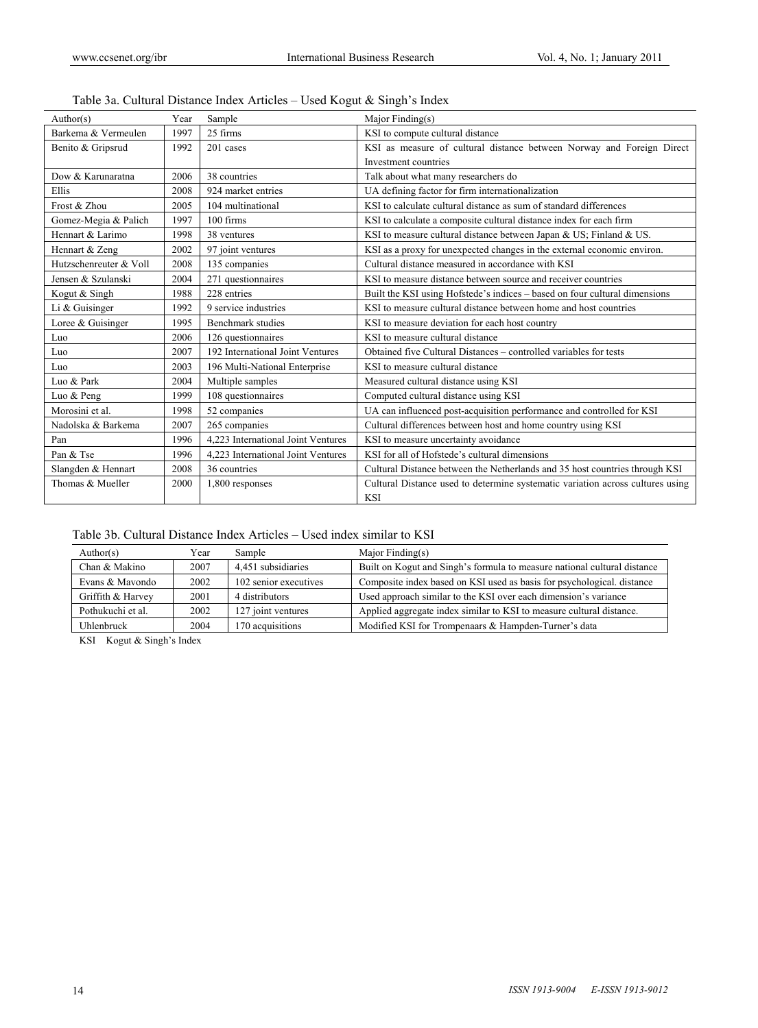| Author(s)              | Year | Sample                             | Major Finding(s)                                                               |
|------------------------|------|------------------------------------|--------------------------------------------------------------------------------|
| Barkema & Vermeulen    | 1997 | 25 firms                           | KSI to compute cultural distance                                               |
| Benito & Gripsrud      | 1992 | 201 cases                          | KSI as measure of cultural distance between Norway and Foreign Direct          |
|                        |      |                                    | Investment countries                                                           |
| Dow & Karunaratna      | 2006 | 38 countries                       | Talk about what many researchers do                                            |
| Ellis                  | 2008 | 924 market entries                 | UA defining factor for firm internationalization                               |
| Frost & Zhou           | 2005 | 104 multinational                  | KSI to calculate cultural distance as sum of standard differences              |
| Gomez-Megia & Palich   | 1997 | 100 firms                          | KSI to calculate a composite cultural distance index for each firm             |
| Hennart & Larimo       | 1998 | 38 ventures                        | KSI to measure cultural distance between Japan & US; Finland & US.             |
| Hennart & Zeng         | 2002 | 97 joint ventures                  | KSI as a proxy for unexpected changes in the external economic environ.        |
| Hutzschenreuter & Voll | 2008 | 135 companies                      | Cultural distance measured in accordance with KSI                              |
| Jensen & Szulanski     | 2004 | 271 questionnaires                 | KSI to measure distance between source and receiver countries                  |
| Kogut & Singh          | 1988 | 228 entries                        | Built the KSI using Hofstede's indices - based on four cultural dimensions     |
| Li & Guisinger         | 1992 | 9 service industries               | KSI to measure cultural distance between home and host countries               |
| Loree & Guisinger      | 1995 | Benchmark studies                  | KSI to measure deviation for each host country                                 |
| Luo                    | 2006 | 126 questionnaires                 | KSI to measure cultural distance                                               |
| Luo                    | 2007 | 192 International Joint Ventures   | Obtained five Cultural Distances – controlled variables for tests              |
| Luo                    | 2003 | 196 Multi-National Enterprise      | KSI to measure cultural distance                                               |
| Luo & Park             | 2004 | Multiple samples                   | Measured cultural distance using KSI                                           |
| Luo & Peng             | 1999 | 108 questionnaires                 | Computed cultural distance using KSI                                           |
| Morosini et al.        | 1998 | 52 companies                       | UA can influenced post-acquisition performance and controlled for KSI          |
| Nadolska & Barkema     | 2007 | 265 companies                      | Cultural differences between host and home country using KSI                   |
| Pan                    | 1996 | 4.223 International Joint Ventures | KSI to measure uncertainty avoidance                                           |
| Pan & Tse              | 1996 | 4,223 International Joint Ventures | KSI for all of Hofstede's cultural dimensions                                  |
| Slangden & Hennart     | 2008 | 36 countries                       | Cultural Distance between the Netherlands and 35 host countries through KSI    |
| Thomas & Mueller       | 2000 | 1,800 responses                    | Cultural Distance used to determine systematic variation across cultures using |
|                        |      |                                    | <b>KSI</b>                                                                     |

# Table 3a. Cultural Distance Index Articles – Used Kogut & Singh's Index

| Table 3b. Cultural Distance Index Articles – Used index similar to KSI |  |  |  |
|------------------------------------------------------------------------|--|--|--|
|------------------------------------------------------------------------|--|--|--|

| Author(s)         | Year | Sample                | Major Finding $(s)$                                                      |
|-------------------|------|-----------------------|--------------------------------------------------------------------------|
| Chan & Makino     | 2007 | 4,451 subsidiaries    | Built on Kogut and Singh's formula to measure national cultural distance |
| Evans & Mayondo   | 2002 | 102 senior executives | Composite index based on KSI used as basis for psychological, distance   |
| Griffith & Harvey | 2001 | 4 distributors        | Used approach similar to the KSI over each dimension's variance          |
| Pothukuchi et al. | 2002 | 127 joint ventures    | Applied aggregate index similar to KSI to measure cultural distance.     |
| Uhlenbruck        | 2004 | 170 acquisitions      | Modified KSI for Trompenaars & Hampden-Turner's data                     |

KSI Kogut & Singh's Index